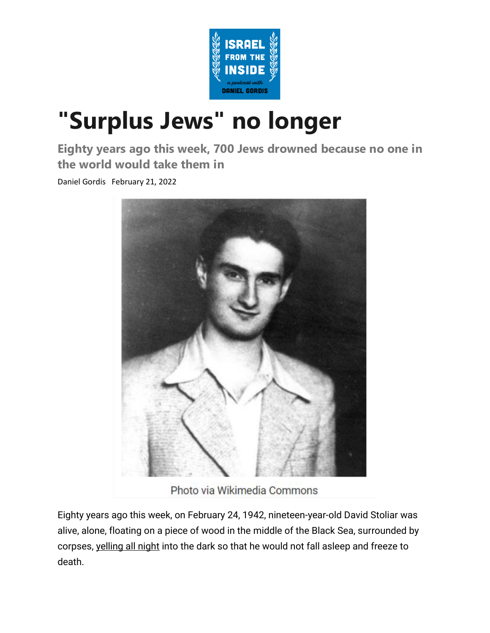

## **["Surplus Jews" no longer](https://email.mg2.substack.com/c/eJxVkk1v4jAQhn8NuYEc2_k65NAWsc0KglgBgl4ix54Eg-NEsUMafv2actmVxh7Jr2bekZ_hzELd9lPatcZ6z6uwUwephtEosBZ6bzDQF1KkfoSimPixJ1Iq_DiIPWmKqgdomFSp7QfwuqFUkjMrW_2swElIUORd0iAmtAooDgnQBCFeAgsEUBzQCkFF8cuYDUKC5pDCHfqp1eCp9GJtZ2bkbYZXLgTTEpSbV0izMENpLOO3BW8bp3XumKHv1GDmVzf9XLdz1eoa-hlZ2fYGekaWMP32OT5OJ6xu2bX9zh9vZLvcfG8_Rsl_JQ-xSrqvjyzMl3XgNLTZH0zWqItwb5v9GeX7HdouD9NGjpKd8ofrIfnnUa73WZBfN2M-ZSbTuX-WWZjp9zsnO8ub4-VM_nQlprLaLfo1z66JQtvv-_Vzh7qaKLtO3jN7_7LV_GHmzXqKgnF7OmSeTDHCz_B9ghANF3jBkpCJhGDM4ipMonJBfH9oE8VnFDU1_u9XvD5lY3tRJfS1k62RmskfwYEqXG4GLe1UgGalAvFiaF-r8EO1qEFD71ZEFMymfkgDSuMAY0zpC5mDTOMkQtQPPOcsWlel038x_QVunM3F)**

**Eighty years ago this week, 700 Jews drowned because no one in the world would take them in**

Daniel Gordis February 21, 2022



Photo via Wikimedia Commons

Eighty years ago this week, on February 24, 1942, nineteen-year-old David Stoliar was alive, alone, floating on a piece of wood in the middle of the Black Sea, surrounded by corpses, [yelling all night](https://email.mg2.substack.com/c/eJwlUcuOwyAM_JpyS0QIeR047GV_IzLgJtYSiHi0yt8vbSTLaDRYY88YyLiFeKkzpMw-bc3XicrjOznMGSMrCeNKVnUTn-a-m5lV0nbzMDNK6zMiHkBO5ViQnUU7MpAp-M-EWMaeT2xXZpFSDlpPMEg7oTDW6p7P8xNGzfU43MJQLKE3qPCF8QoemVN7zmd69D8P8Vurspdx4URL0Ja0H0cb4lYJE3xGn79fagsRXLNTyvWyCi28yDYVOYLYWEwmksbU7OHd7NikEl_0QtvkDyD_R35rwvOG9a4DGCnBxae6rudcjq1oYRnBLr0QMD_HZdJt33UlLM48JD820aaiUwbz15pwsKjgHXansW4rea4iQF-iOrbW9yie8rWiB-3Q3mbmO5OvveuGHmPNyq6QVTfKQcp5EEJIeXtX3ZbzMnHZDawq21CnvLLgCV3N11L6B1vrqJs) into the dark so that he would not fall asleep and freeze to death.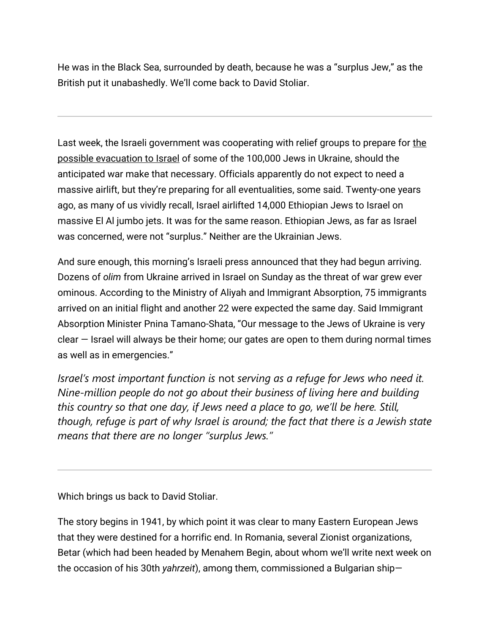He was in the Black Sea, surrounded by death, because he was a "surplus Jew," as the British put it unabashedly. We'll come back to David Stoliar.

Last week, [the](https://email.mg2.substack.com/c/eJwlUcuOhDAM-5rpbRB9AOXQw172N1CgGchup0V9LOLvtwxSZEt1LSvOAhnXEE-zh5TZBVM-dzQej-QwZ4ysJIwTWcOHdtCSa2aNslx3mlGaXhHxDeRMjgXZXmZHC2QK_nKIsZftwDZj51GNixzqA_K-t4sSGiTvRKfngdvXHQzFEvoFDf5hPINH5syW854e8ushvuscx9EckDbyaw7-MjVLeF9CiM5WFq0QldoLuKwQS0oEz_IbgTw-f-paF1DanpQioKt_GJnLV4dz2baqb0QDYw92lEKAfvXjMDeS8xJGtzxU-15Fk8qcMiy_Vz6LBo6wuRnjWuWcyAN9hNrHVPldPOVzQg-zQ3tXle_GP-VNK3qM9RJ2gmx4rzqldCeEUOpupnap9Di0inesJttQXd5Y8ISuXs9S-gdDa5hu) Israeli government was cooperating with relief groups to prepare for the [possible evacuation to Israel](https://email.mg2.substack.com/c/eJwlUcuOhDAM-5rpbRB9AOXQw172N1CgGchup0V9LOLvtwxSZEt1LSvOAhnXEE-zh5TZBVM-dzQej-QwZ4ysJIwTWcOHdtCSa2aNslx3mlGaXhHxDeRMjgXZXmZHC2QK_nKIsZftwDZj51GNixzqA_K-t4sSGiTvRKfngdvXHQzFEvoFDf5hPINH5syW854e8ushvuscx9EckDbyaw7-MjVLeF9CiM5WFq0QldoLuKwQS0oEz_IbgTw-f-paF1DanpQioKt_GJnLV4dz2baqb0QDYw92lEKAfvXjMDeS8xJGtzxU-15Fk8qcMiy_Vz6LBo6wuRnjWuWcyAN9hNrHVPldPOVzQg-zQ3tXle_GP-VNK3qM9RJ2gmx4rzqldCeEUOpupnap9Di0inesJttQXd5Y8ISuXs9S-gdDa5hu) of some of the 100,000 Jews in Ukraine, should the anticipated war make that necessary. Officials apparently do not expect to need a massive airlift, but they're preparing for all eventualities, some said. Twenty-one years ago, as many of us vividly recall, Israel airlifted 14,000 Ethiopian Jews to Israel on massive El Al jumbo jets. It was for the same reason. Ethiopian Jews, as far as Israel was concerned, were not "surplus." Neither are the Ukrainian Jews.

And sure enough, this morning's Israeli press announced that they had begun arriving. Dozens of *olim* from Ukraine arrived in Israel on Sunday as the threat of war grew ever ominous. According to the Ministry of Aliyah and Immigrant Absorption, 75 immigrants arrived on an initial flight and another 22 were expected the same day. Said Immigrant Absorption Minister Pnina Tamano-Shata, "Our message to the Jews of Ukraine is very clear — Israel will always be their home; our gates are open to them during normal times as well as in emergencies."

*Israel's most important function is* not *serving as a refuge for Jews who need it. Nine-million people do not go about their business of living here and building this country so that one day, if Jews need a place to go, we'll be here. Still, though, refuge is part of why Israel is around; the fact that there is a Jewish state means that there are no longer "surplus Jews."*

Which brings us back to David Stoliar.

The story begins in 1941, by which point it was clear to many Eastern European Jews that they were destined for a horrific end. In Romania, several Zionist organizations, Betar (which had been headed by Menahem Begin, about whom we'll write next week on the occasion of his 30th *yahrzeit*), among them, commissioned a Bulgarian ship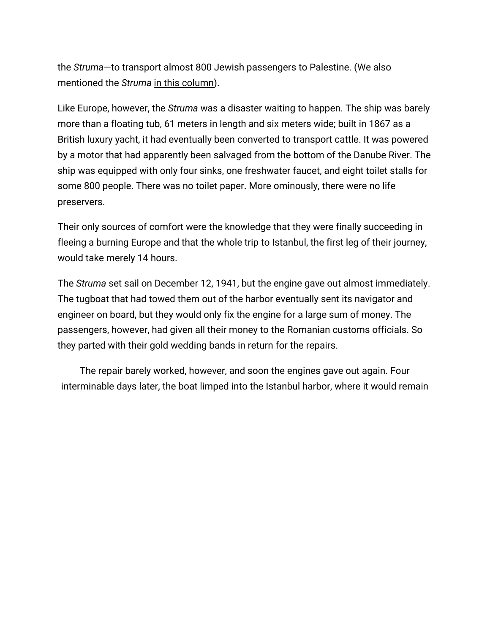the *Struma*—to transport almost 800 Jewish passengers to Palestine. (We also mentioned the *Struma* [in this column\)](https://email.mg2.substack.com/c/eJxVkc1uhSAQhZ9GdhpAVFywaNLc1zAIo5IiGBh649uX27tpk_nJ5GRyJt8YjbDHdKsrZiSvsuB9gQrwzB4QIZGSIS3OKjbRSfZMEquEZXKQxOVlSwCndl5hKkCusnpnNLoYXht8Hns6kUPpiVLJJDVso3ye2TBMVNKRWxjouDF4G-tiHQQDCr4h3TEA8epAvHLTfzT8UcPq4MDXe63LXS5rRm2-OhPPql018YAE7Vqw3WJq69TuSRto49Ye8YS26R8FzyXHkgw0_WdJnjjFKX8FYz2lYux4p-dR27nnXMttnKe16xkrcfamEfTc-T9nkpR-xsOvkPYqY3ZBu1-hwlhqP0tweC8Q9OrBvjnhG_cvuWWHAKm-wS4aFRvFIIQcOOdCvLFUkELOExVsINXZxroV1F8UPy27mHU).

Like Europe, however, the *Struma* was a disaster waiting to happen. The ship was barely more than a floating tub, 61 meters in length and six meters wide; built in 1867 as a British luxury yacht, it had eventually been converted to transport cattle. It was powered by a motor that had apparently been salvaged from the bottom of the Danube River. The ship was equipped with only four sinks, one freshwater faucet, and eight toilet stalls for some 800 people. There was no toilet paper. More ominously, there were no life preservers.

Their only sources of comfort were the knowledge that they were finally succeeding in fleeing a burning Europe and that the whole trip to Istanbul, the first leg of their journey, would take merely 14 hours.

The *Struma* set sail on December 12, 1941, but the engine gave out almost immediately. The tugboat that had towed them out of the harbor eventually sent its navigator and engineer on board, but they would only fix the engine for a large sum of money. The passengers, however, had given all their money to the Romanian customs officials. So they parted with their gold wedding bands in return for the repairs.

The repair barely worked, however, and soon the engines gave out again. Four interminable days later, the boat limped into the Istanbul harbor, where it would remain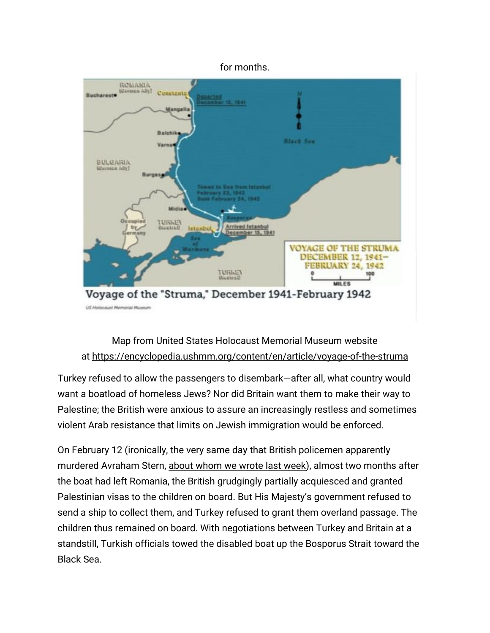

## Map from United States Holocaust Memorial Museum website at <https://encyclopedia.ushmm.org/content/en/article/voyage-of-the-struma>

Turkey refused to allow the passengers to disembark—after all, what country would want a boatload of homeless Jews? Nor did Britain want them to make their way to Palestine; the British were anxious to assure an increasingly restless and sometimes violent Arab resistance that limits on Jewish immigration would be enforced.

On February 12 (ironically, the very same day that British policemen apparently murdered Avraham Stern, [about whom we wrote last week\)](https://email.mg2.substack.com/c/eJxVkUmKwzAQRU9j7WI0xZYXWjQ0uYYpSZVEtCwZDQm-fSvJphtqWHyK_3lloeIt5UPvqVTyGms9dtQRnyVgrZhJK5hX7zSb6awEU8Rp6Zg6K-LLes2IG_iga25I9maCt1B9iq8LvkyCzuSulXNKUI7GLmDkoozjAo2gCFSCM_ZjDM15jBY1PjAfKSIJ-l7rXgbxNfBLLwfRY-h5nS9jaaZUsD-jTVvX9t7wyHCH7VR67nh6Qs4-5dOesA7i0uq2ltSyxUF8txyI15zyVzEmKJXTyEdYJnCL4BzUdVpmMwrGWlqCHSTdbvyfJ8kanukeDOZbl2vxEfxb6BjWvrcWfT1WjGACug-h-gH9ZrbeMGLuD3ArVM0meZZSnTnnUn6AdIRSLTOV7Ey6s0v9Kuq_EH4BlB-Y-A), almost two months after the boat had left Romania, the British grudgingly partially acquiesced and granted Palestinian visas to the children on board. But His Majesty's government refused to send a ship to collect them, and Turkey refused to grant them overland passage. The children thus remained on board. With negotiations between Turkey and Britain at a standstill, Turkish officials towed the disabled boat up the Bosporus Strait toward the Black Sea.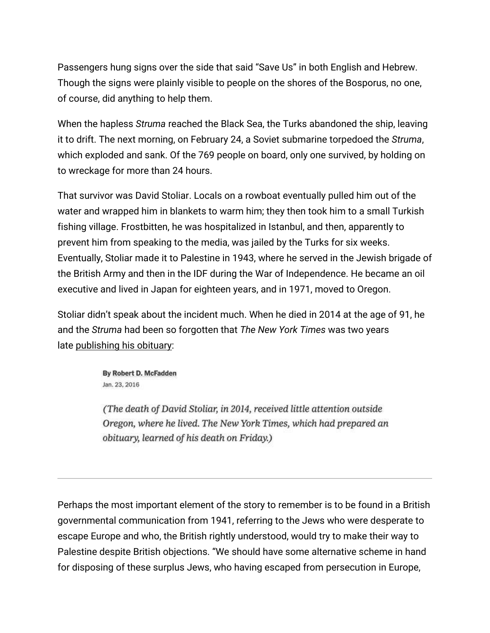Passengers hung signs over the side that said "Save Us" in both English and Hebrew. Though the signs were plainly visible to people on the shores of the Bosporus, no one, of course, did anything to help them.

When the hapless *Struma* reached the Black Sea, the Turks abandoned the ship, leaving it to drift. The next morning, on February 24, a Soviet submarine torpedoed the *Struma*, which exploded and sank. Of the 769 people on board, only one survived, by holding on to wreckage for more than 24 hours.

That survivor was David Stoliar. Locals on a rowboat eventually pulled him out of the water and wrapped him in blankets to warm him; they then took him to a small Turkish fishing village. Frostbitten, he was hospitalized in Istanbul, and then, apparently to prevent him from speaking to the media, was jailed by the Turks for six weeks. Eventually, Stoliar made it to Palestine in 1943, where he served in the Jewish brigade of the British Army and then in the IDF during the War of Independence. He became an oil executive and lived in Japan for eighteen years, and in 1971, moved to Oregon.

Stoliar didn't speak about the incident much. When he died in 2014 at the age of 91, he and the *Struma* had been so forgotten that *The New York Times* was two years late [publishing his obituary:](https://email.mg2.substack.com/c/eJwlUUEO4yAMfE25JQJCE3LgsJf9RuSA21pLoAKnUX6_pJUsxthjGWY8MD5zOd07VxbXsfD5RpfwqBGZsYi9YlkoODXJyQ7KiuBMUPZuBdXlURA3oOi47Cje-xrJA1NO14Sex0FO4uW8t6g0KouDnQZvPKpxhdnIME5-RP1bDHsgTB4dfrCcOaGI7sX8rrfhz03_bXEcR59Opg1r7_PWKlqqsYFUV24uSi4xNNwohIgIldslwIdCVzlHgtLVvXzok0uXH92X3h2tStQFqo2PpSVYO-BuVv2LtyjIaamvUGqQ0oy97mEeIcyD1mAf4zyt_aDUnufob0ZuT93Xfa0M_t_1TlEcHPkVVyzP1uZKCejbaIItDbc9EZ8LJlgjhp-W_LPkq-7yxISlWRUWYKdGczfG3rXWxvyka2IbO0_SqLtom0NuU8kFSISx2ds-9h_Th6Sw)

> By Robert D. McFadden Jan. 23, 2016

(The death of David Stoliar, in 2014, received little attention outside Oregon, where he lived. The New York Times, which had prepared an obituary, learned of his death on Friday.)

Perhaps the most important element of the story to remember is to be found in a British governmental communication from 1941, referring to the Jews who were desperate to escape Europe and who, the British rightly understood, would try to make their way to Palestine despite British objections. "We should have some alternative scheme in hand for disposing of these surplus Jews, who having escaped from persecution in Europe,